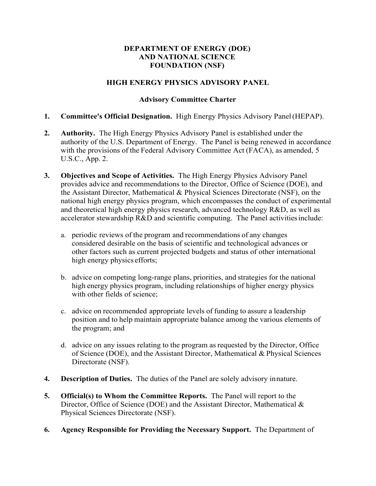## **DEPARTMENT OF ENERGY (DOE) AND NATIONAL SCIENCE FOUNDATION (NSF)**

## **HIGH ENERGY PHYSICS ADVISORY PANEL**

## **Advisory Committee Charter**

- **1. Committee's Official Designation.** High Energy Physics Advisory Panel(HEPAP).
- **2. Authority.** The High Energy Physics Advisory Panel is established under the authority of the U.S. Department of Energy. The Panel is being renewed in accordance with the provisions of the Federal Advisory Committee Act (FACA), as amended, 5 U.S.C., App. 2.
- **3. Objectives and Scope of Activities.** The High Energy Physics Advisory Panel provides advice and recommendations to the Director, Office of Science (DOE), and the Assistant Director, Mathematical & Physical Sciences Directorate (NSF), on the national high energy physics program, which encompasses the conduct of experimental and theoretical high energy physics research, advanced technology R&D, as well as accelerator stewardship R&D and scientific computing. The Panel activitiesinclude:
	- a. periodic reviews of the program and recommendations of any changes considered desirable on the basis of scientific and technological advances or other factors such as current projected budgets and status of other international high energy physics efforts;
	- b. advice on competing long-range plans, priorities, and strategies for the national high energy physics program, including relationships of higher energy physics with other fields of science;
	- c. advice on recommended appropriate levels of funding to assure a leadership position and to help maintain appropriate balance among the various elements of the program; and
	- d. advice on any issues relating to the program as requested by the Director, Office of Science (DOE), and the Assistant Director, Mathematical & Physical Sciences Directorate (NSF).
- **4. Description of Duties.** The duties of the Panel are solely advisory innature.
- **5. Official(s) to Whom the Committee Reports.** The Panel will report to the Director, Office of Science (DOE) and the Assistant Director, Mathematical & Physical Sciences Directorate (NSF).
- **6. Agency Responsible for Providing the Necessary Support.** The Department of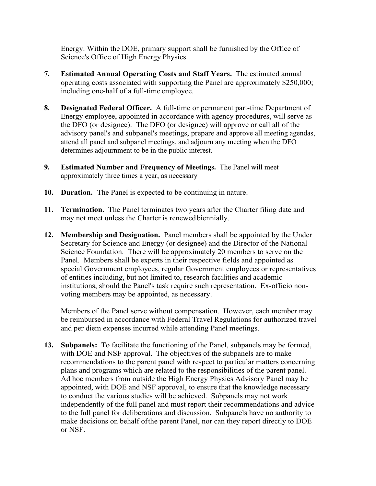Energy. Within the DOE, primary support shall be furnished by the Office of Science's Office of High Energy Physics.

- **7. Estimated Annual Operating Costs and Staff Years.** The estimated annual operating costs associated with supporting the Panel are approximately \$250,000; including one-half of a full-time employee.
- **8. Designated Federal Officer.** A full-time or permanent part-time Department of Energy employee, appointed in accordance with agency procedures, will serve as the DFO (or designee). The DFO (or designee) will approve or call all of the advisory panel's and subpanel's meetings, prepare and approve all meeting agendas, attend all panel and subpanel meetings, and adjourn any meeting when the DFO determines adjournment to be in the public interest.
- **9. Estimated Number and Frequency of Meetings.** The Panel will meet approximately three times a year, as necessary
- **10. Duration.** The Panel is expected to be continuing in nature.
- **11. Termination.** The Panel terminates two years after the Charter filing date and may not meet unless the Charter is renewedbiennially.
- **12. Membership and Designation.** Panel members shall be appointed by the Under Secretary for Science and Energy (or designee) and the Director of the National Science Foundation. There will be approximately 20 members to serve on the Panel. Members shall be experts in their respective fields and appointed as special Government employees, regular Government employees or representatives of entities including, but not limited to, research facilities and academic institutions, should the Panel's task require such representation. Ex-officio nonvoting members may be appointed, as necessary.

Members of the Panel serve without compensation. However, each member may be reimbursed in accordance with Federal Travel Regulations for authorized travel and per diem expenses incurred while attending Panel meetings.

**13. Subpanels:** To facilitate the functioning of the Panel, subpanels may be formed, with DOE and NSF approval. The objectives of the subpanels are to make recommendations to the parent panel with respect to particular matters concerning plans and programs which are related to the responsibilities of the parent panel. Ad hoc members from outside the High Energy Physics Advisory Panel may be appointed, with DOE and NSF approval, to ensure that the knowledge necessary to conduct the various studies will be achieved. Subpanels may not work independently of the full panel and must report their recommendations and advice to the full panel for deliberations and discussion. Subpanels have no authority to make decisions on behalf ofthe parent Panel, nor can they report directly to DOE or NSF.